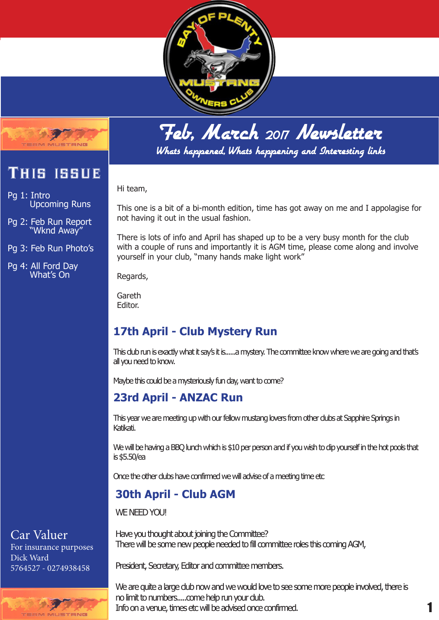



This issue

Upcoming Runs

Pg 2: Feb Run Report "Wknd Away"

Pg 3: Feb Run Photo's

Pg 4: All Ford Day What's On

Pg 1: Intro

## Feb, March <sup>2017</sup> Newsletter

Whats happened, Whats happening and Interesting links

Hi team,

This one is a bit of a bi-month edition, time has got away on me and I appolagise for not having it out in the usual fashion.

There is lots of info and April has shaped up to be a very busy month for the club with a couple of runs and importantly it is AGM time, please come along and involve yourself in your club, "many hands make light work"

Regards,

Gareth Editor.

## **17th April - Club Mystery Run**

This club run is exactly what it say's it is......a mystery. The committee know where we are going and that's all you need to know.

Maybe this could be a mysteriously fun day, want to come?

## **23rd April - ANZAC Run**

This year we are meeting up with our fellow mustang lovers from other clubs at Sapphire Springs in Katikati.

We will be having a BBQ lunch which is \$10 per person and if you wish to dip yourself in the hot pools that is \$5.50/ea

Once the other clubs have confirmed we will advise of a meeting time etc

## **30th April - Club AGM**

WE NEED YOU!

Have you thought about joining the Committee? There will be some new people needed to fill committee roles this coming AGM,

President, Secretary, Editor and committee members.

We are quite a large dub now and we would love to see some more people involved, there is no limit to numbers.....come help run your dub. Info on a venue, times etc will be advised once confirmed.

## Car Valuer

For insurance purposes Dick Ward 5764527 - 0274938458

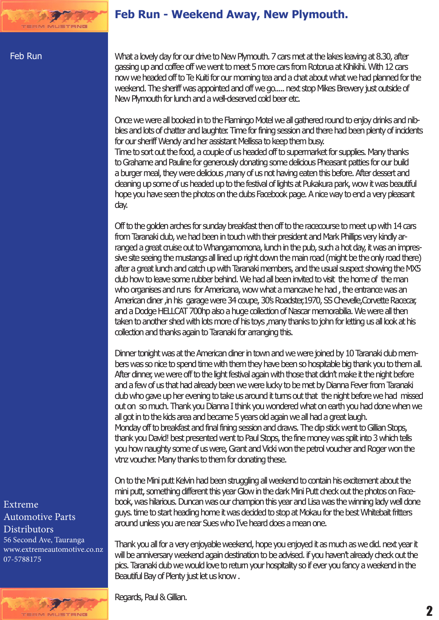## **Feb Run - Weekend Away, New Plymouth.**

#### Feb Run

What a lovely day for our drive to New Plymouth. 7 cars met at the lakes leaving at 8.30, after gassing up and coffee off we went to meet 5 more cars from Rotorua at Kihikihi. With 12 cars now we headed off to Te Kuiti for our morning tea and a chat about what we had planned for the weekend. The sheriff was appointed and off we go..... next stop Mikes Brewery just outside of New Plymouth for lunch and a well-deserved cold beer etc.

Once we were all booked in to the Flamingo Motel we all gathered round to enjoy drinks and nibbles and lots of chatter and laughter. Time for fining session and there had been plenty of incidents for our sheriff Wendy and her assistant Mellissa to keep them busy.

Time to sort out the food, a couple of us headed off to supermarket for supplies. Many thanks to Grahame and Pauline for generously donating some delicious Pheasant patties for our build a burger meal, they were delicious ,many of us not having eaten this before. After dessert and cleaning up some of us headed up to the festival of lights at Pukakura park, wow it was beautiful hope you have seen the photos on the clubs Facebook page. A nice way to end a very pleasant day.

Off to the golden arches for sunday breakfast then off to the racecourse to meet up with 14 cars from Taranaki club, we had been in touch with their president and Mark Phillips very kindly arranged a great cruise out to Whangamomona, lunch in the pub, such a hot day, it was an impressive site seeing the mustangs all lined up right down the main road (might be the only road there) after a great lunch and catch up with Taranaki members, and the usual suspect showing the MX5 club how to leave some rubber behind. We had all been invited to visit the home of the man who organises and runs for Americana, wow what a mancave he had , the entrance was an American diner ,in his garage were 34 coupe, 30's Roadster,1970, SS Chevelle,Corvette Racecar, and a Dodge HELLCAT 700hp also a huge collection of Nascar memorabilia. We were all then taken to another shed with lots more of his toys ,many thanks to john for letting us all look at his collection and thanks again to Taranaki for arranging this.

Dinner tonight was at the American diner in town and we were joined by 10 Taranaki club members was so nice to spend time with them they have been so hospitable big thank you to them all. After dinner, we were off to the light festival again with those that didn't make it the night before and a few of us that had already been we were lucky to be met by Dianna Fever from Taranaki club who gave up her evening to take us around it turns out that the night before we had missed out on so much. Thank you Dianna I think you wondered what on earth you had done when we all got in to the kids area and became 5 years old again we all had a great laugh. Monday off to breakfast and final fining session and draws. The dip stick went to Gillian Stops, thank you David! best presented went to Paul Stops, the fine money was split into 3 which tells you how naughty some of us were, Grant and Vicki won the petrol voucher and Roger won the vtnz voucher. Many thanks to them for donating these.

On to the Mini putt Kelvin had been struggling all weekend to contain his excitement about the mini putt, something different this year Glow in the dark Mini Putt check out the photos on Facebook, was hilarious. Duncan was our champion this year and Lisa was the winning lady well done guys. time to start heading home it was decided to stop at Mokau for the best Whitebait fritters around unless you are near Sues who I've heard does a mean one.

Thank you all for a very enjoyable weekend, hope you enjoyed it as much as we did. next year it will be anniversary weekend again destination to be advised. if you haven't already check out the pics. Taranaki club we would love to return your hospitality so if ever you fancy a weekend in the Beautiful Bay of Plenty just let us know .

Regards, Paul & Gillian.

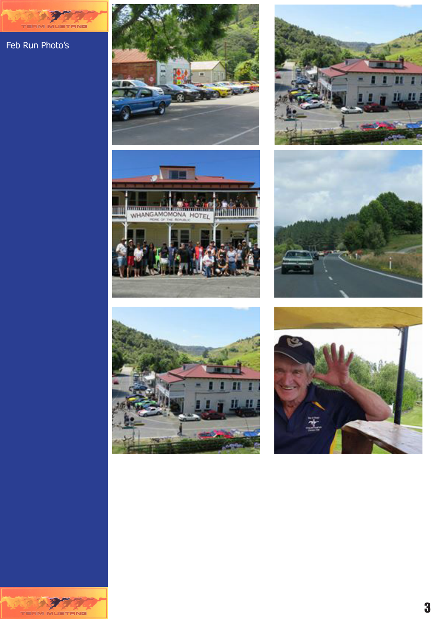Feb Run Photo's

TERM

STANG